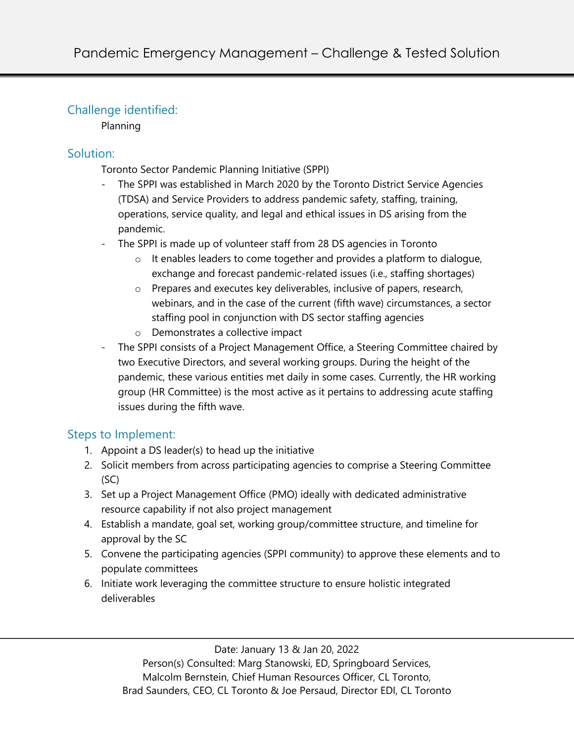# Challenge identified:

Planning

## Solution:

Toronto Sector Pandemic Planning Initiative (SPPI)

- The SPPI was established in March 2020 by the Toronto District Service Agencies (TDSA) and Service Providers to address pandemic safety, staffing, training, operations, service quality, and legal and ethical issues in DS arising from the pandemic.
- The SPPI is made up of volunteer staff from 28 DS agencies in Toronto
	- o It enables leaders to come together and provides a platform to dialogue, exchange and forecast pandemic-related issues (i.e., staffing shortages)
	- o Prepares and executes key deliverables, inclusive of papers, research, webinars, and in the case of the current (fifth wave) circumstances, a sector staffing pool in conjunction with DS sector staffing agencies
	- o Demonstrates a collective impact
- The SPPI consists of a Project Management Office, a Steering Committee chaired by two Executive Directors, and several working groups. During the height of the pandemic, these various entities met daily in some cases. Currently, the HR working group (HR Committee) is the most active as it pertains to addressing acute staffing issues during the fifth wave.

# Steps to Implement:

- 1. Appoint a DS leader(s) to head up the initiative
- 2. Solicit members from across participating agencies to comprise a Steering Committee (SC)
- 3. Set up a Project Management Office (PMO) ideally with dedicated administrative resource capability if not also project management
- 4. Establish a mandate, goal set, working group/committee structure, and timeline for approval by the SC
- 5. Convene the participating agencies (SPPI community) to approve these elements and to populate committees
- 6. Initiate work leveraging the committee structure to ensure holistic integrated deliverables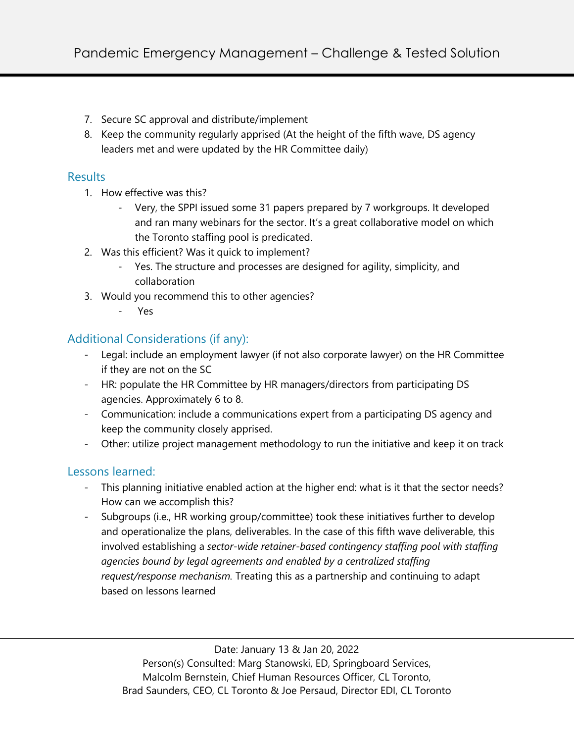- 7. Secure SC approval and distribute/implement
- 8. Keep the community regularly apprised (At the height of the fifth wave, DS agency leaders met and were updated by the HR Committee daily)

#### **Results**

- 1. How effective was this?
	- Very, the SPPI issued some 31 papers prepared by 7 workgroups. It developed and ran many webinars for the sector. It's a great collaborative model on which the Toronto staffing pool is predicated.
- 2. Was this efficient? Was it quick to implement?
	- Yes. The structure and processes are designed for agility, simplicity, and collaboration
- 3. Would you recommend this to other agencies?
	- Yes

## Additional Considerations (if any):

- Legal: include an employment lawyer (if not also corporate lawyer) on the HR Committee if they are not on the SC
- HR: populate the HR Committee by HR managers/directors from participating DS agencies. Approximately 6 to 8.
- Communication: include a communications expert from a participating DS agency and keep the community closely apprised.
- Other: utilize project management methodology to run the initiative and keep it on track

### Lessons learned:

- This planning initiative enabled action at the higher end: what is it that the sector needs? How can we accomplish this?
- Subgroups (i.e., HR working group/committee) took these initiatives further to develop and operationalize the plans, deliverables. In the case of this fifth wave deliverable, this involved establishing a *sector-wide retainer-based contingency staffing pool with staffing agencies bound by legal agreements and enabled by a centralized staffing request/response mechanism.* Treating this as a partnership and continuing to adapt based on lessons learned